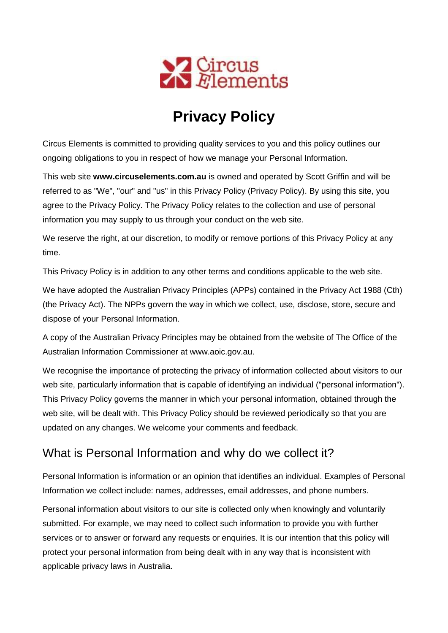

# **Privacy Policy**

Circus Elements is committed to providing quality services to you and this policy outlines our ongoing obligations to you in respect of how we manage your Personal Information.

This web site **www.circuselements.com.au** is owned and operated by Scott Griffin and will be referred to as "We", "our" and "us" in this Privacy Policy (Privacy Policy). By using this site, you agree to the Privacy Policy. The Privacy Policy relates to the collection and use of personal information you may supply to us through your conduct on the web site.

We reserve the right, at our discretion, to modify or remove portions of this Privacy Policy at any time.

This Privacy Policy is in addition to any other terms and conditions applicable to the web site.

We have adopted the Australian Privacy Principles (APPs) contained in the Privacy Act 1988 (Cth) (the Privacy Act). The NPPs govern the way in which we collect, use, disclose, store, secure and dispose of your Personal Information.

A copy of the Australian Privacy Principles may be obtained from the website of The Office of the Australian Information Commissioner at [www.aoic.gov.au.](http://www.aoic.gov.au/)

We recognise the importance of protecting the privacy of information collected about visitors to our web site, particularly information that is capable of identifying an individual ("personal information"). This Privacy Policy governs the manner in which your personal information, obtained through the web site, will be dealt with. This Privacy Policy should be reviewed periodically so that you are updated on any changes. We welcome your comments and feedback.

### What is Personal Information and why do we collect it?

Personal Information is information or an opinion that identifies an individual. Examples of Personal Information we collect include: names, addresses, email addresses, and phone numbers.

Personal information about visitors to our site is collected only when knowingly and voluntarily submitted. For example, we may need to collect such information to provide you with further services or to answer or forward any requests or enquiries. It is our intention that this policy will protect your personal information from being dealt with in any way that is inconsistent with applicable privacy laws in Australia.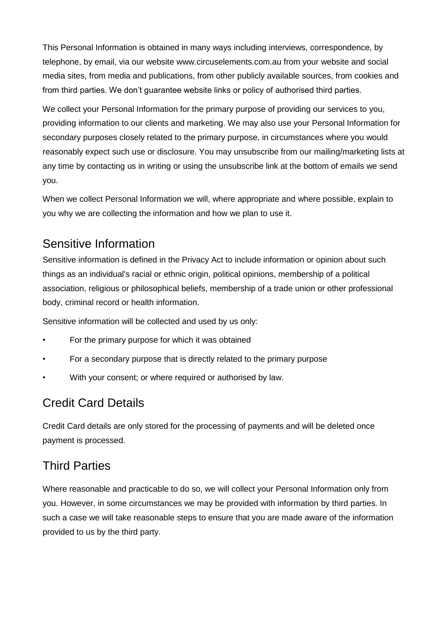This Personal Information is obtained in many ways including interviews, correspondence, by telephone, by email, via our website www.circuselements.com.au from your website and social media sites, from media and publications, from other publicly available sources, from cookies and from third parties. We don't guarantee website links or policy of authorised third parties.

We collect your Personal Information for the primary purpose of providing our services to you, providing information to our clients and marketing. We may also use your Personal Information for secondary purposes closely related to the primary purpose, in circumstances where you would reasonably expect such use or disclosure. You may unsubscribe from our mailing/marketing lists at any time by contacting us in writing or using the unsubscribe link at the bottom of emails we send you.

When we collect Personal Information we will, where appropriate and where possible, explain to you why we are collecting the information and how we plan to use it.

### Sensitive Information

Sensitive information is defined in the Privacy Act to include information or opinion about such things as an individual's racial or ethnic origin, political opinions, membership of a political association, religious or philosophical beliefs, membership of a trade union or other professional body, criminal record or health information.

Sensitive information will be collected and used by us only:

- For the primary purpose for which it was obtained
- For a secondary purpose that is directly related to the primary purpose
- With your consent; or where required or authorised by law.

### Credit Card Details

Credit Card details are only stored for the processing of payments and will be deleted once payment is processed.

#### Third Parties

Where reasonable and practicable to do so, we will collect your Personal Information only from you. However, in some circumstances we may be provided with information by third parties. In such a case we will take reasonable steps to ensure that you are made aware of the information provided to us by the third party.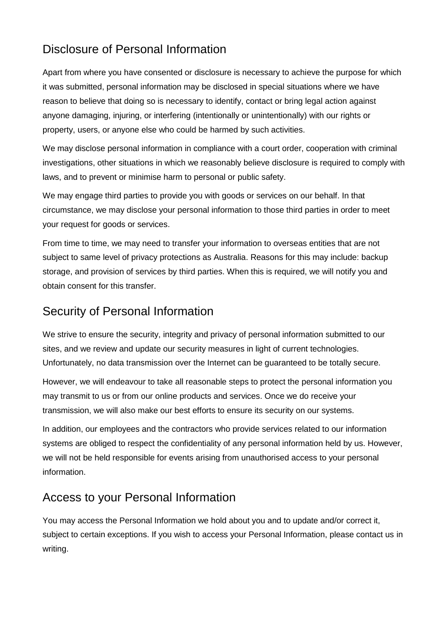# Disclosure of Personal Information

Apart from where you have consented or disclosure is necessary to achieve the purpose for which it was submitted, personal information may be disclosed in special situations where we have reason to believe that doing so is necessary to identify, contact or bring legal action against anyone damaging, injuring, or interfering (intentionally or unintentionally) with our rights or property, users, or anyone else who could be harmed by such activities.

We may disclose personal information in compliance with a court order, cooperation with criminal investigations, other situations in which we reasonably believe disclosure is required to comply with laws, and to prevent or minimise harm to personal or public safety.

We may engage third parties to provide you with goods or services on our behalf. In that circumstance, we may disclose your personal information to those third parties in order to meet your request for goods or services.

From time to time, we may need to transfer your information to overseas entities that are not subject to same level of privacy protections as Australia. Reasons for this may include: backup storage, and provision of services by third parties. When this is required, we will notify you and obtain consent for this transfer.

#### Security of Personal Information

We strive to ensure the security, integrity and privacy of personal information submitted to our sites, and we review and update our security measures in light of current technologies. Unfortunately, no data transmission over the Internet can be guaranteed to be totally secure.

However, we will endeavour to take all reasonable steps to protect the personal information you may transmit to us or from our online products and services. Once we do receive your transmission, we will also make our best efforts to ensure its security on our systems.

In addition, our employees and the contractors who provide services related to our information systems are obliged to respect the confidentiality of any personal information held by us. However, we will not be held responsible for events arising from unauthorised access to your personal information.

# Access to your Personal Information

You may access the Personal Information we hold about you and to update and/or correct it, subject to certain exceptions. If you wish to access your Personal Information, please contact us in writing.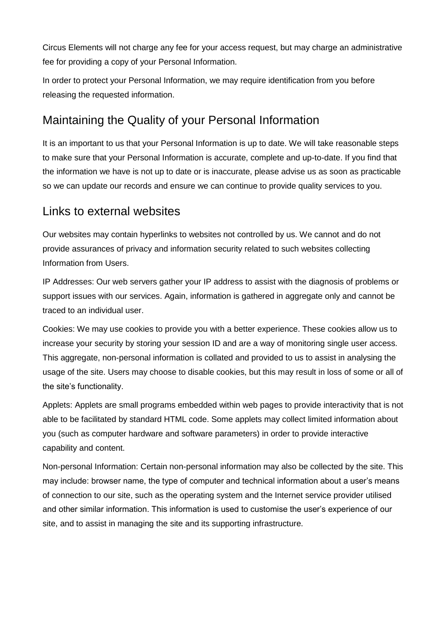Circus Elements will not charge any fee for your access request, but may charge an administrative fee for providing a copy of your Personal Information.

In order to protect your Personal Information, we may require identification from you before releasing the requested information.

### Maintaining the Quality of your Personal Information

It is an important to us that your Personal Information is up to date. We will take reasonable steps to make sure that your Personal Information is accurate, complete and up-to-date. If you find that the information we have is not up to date or is inaccurate, please advise us as soon as practicable so we can update our records and ensure we can continue to provide quality services to you.

#### Links to external websites

Our websites may contain hyperlinks to websites not controlled by us. We cannot and do not provide assurances of privacy and information security related to such websites collecting Information from Users.

IP Addresses: Our web servers gather your IP address to assist with the diagnosis of problems or support issues with our services. Again, information is gathered in aggregate only and cannot be traced to an individual user.

Cookies: We may use cookies to provide you with a better experience. These cookies allow us to increase your security by storing your session ID and are a way of monitoring single user access. This aggregate, non-personal information is collated and provided to us to assist in analysing the usage of the site. Users may choose to disable cookies, but this may result in loss of some or all of the site's functionality.

Applets: Applets are small programs embedded within web pages to provide interactivity that is not able to be facilitated by standard HTML code. Some applets may collect limited information about you (such as computer hardware and software parameters) in order to provide interactive capability and content.

Non-personal Information: Certain non-personal information may also be collected by the site. This may include: browser name, the type of computer and technical information about a user's means of connection to our site, such as the operating system and the Internet service provider utilised and other similar information. This information is used to customise the user's experience of our site, and to assist in managing the site and its supporting infrastructure.